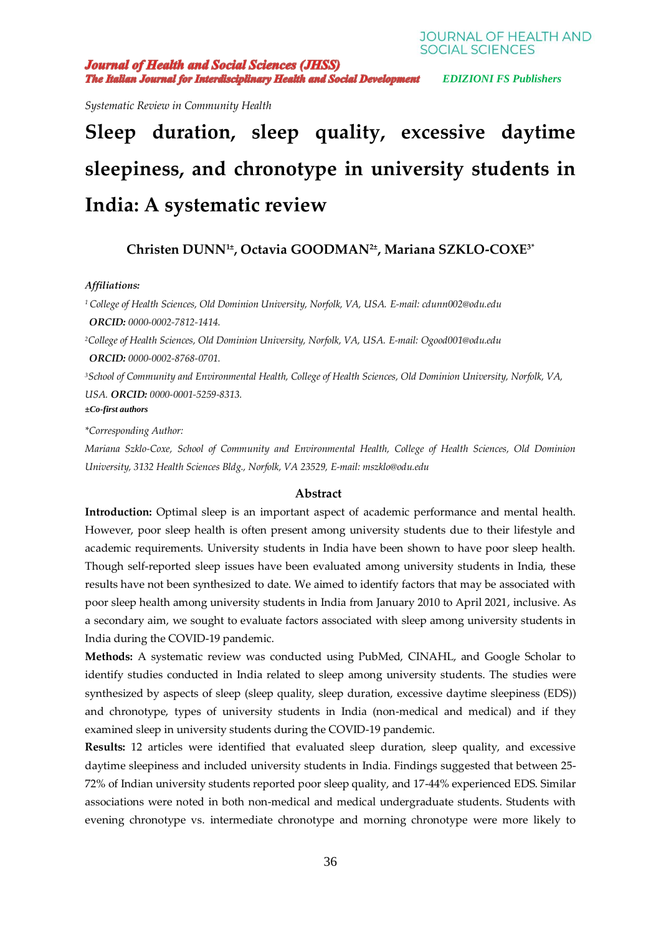**Journal of Health and Social Sciences (JHSS) The Italian Journal for Interdisciplinary Health and Social Development** EDIZIONI FS Publishers

**JOURNAL OF HEALTH AND SOCIAL SCIENCES** 

*Systematic Review in Community Health*

# **Sleep duration, sleep quality, excessive daytime sleepiness, and chronotype in university students in India: A systematic review**

**Christen DUNN1***<sup>±</sup>* **, Octavia GOODMAN2***<sup>±</sup>* **, Mariana SZKLO-COXE3\***

#### *Affiliations:*

*<sup>1</sup>College of Health Sciences, Old Dominion University, Norfolk, VA, USA. E-mail: [cdunn002@odu.edu](mailto:cdunn002@odu.edu) ORCID: 0000-0002-7812-1414. <sup>2</sup>College of Health Sciences, Old Dominion University, Norfolk, VA, USA. E-mail: [Ogood001@odu.edu](mailto:Ogood001@odu.edu) ORCID: 0000-0002-8768-0701. <sup>3</sup>School of Community and Environmental Health, College of Health Sciences, Old Dominion University, Norfolk, VA,* 

*USA. ORCID: 0000-0001-5259-8313. ±Co-first authors*

*\*Corresponding Author:*

*Mariana Szklo-Coxe, School of Community and Environmental Health, College of Health Sciences, Old Dominion University, 3132 Health Sciences Bldg., Norfolk, VA 23529, E-mail: mszklo@odu.edu* 

# **Abstract**

Introduction: Optimal sleep is an important aspect of academic performance and mental health. However, poor sleep health is often present among university students due to their lifestyle and academic requirements. University students in India have been shown to have poor sleep health. Though self-reported sleep issues have been evaluated among university students in India, these results have not been synthesized to date. We aimed to identify factors that may be associated with poor sleep health among university students in India from January 2010 to April 2021, inclusive. As a secondary aim, we sought to evaluate factors associated with sleep among university students in India during the COVID-19 pandemic.

**Methods:** A systematic review was conducted using PubMed, CINAHL, and Google Scholar to identify studies conducted in India related to sleep among university students. The studies were synthesized by aspects of sleep (sleep quality, sleep duration, excessive daytime sleepiness (EDS)) and chronotype, types of university students in India (non-medical and medical) and if they examined sleep in university students during the COVID-19 pandemic.

**Results:** 12 articles were identified that evaluated sleep duration, sleep quality, and excessive daytime sleepiness and included university students in India. Findings suggested that between 25- 72% of Indian university students reported poor sleep quality, and 17-44% experienced EDS. Similar associations were noted in both non-medical and medical undergraduate students. Students with evening chronotype vs. intermediate chronotype and morning chronotype were more likely to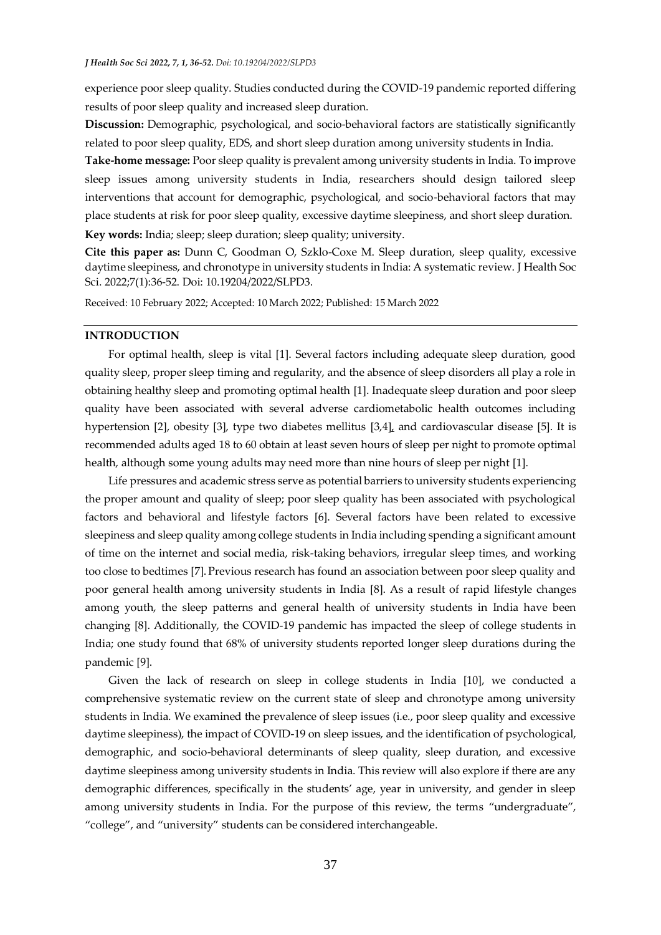experience poor sleep quality. Studies conducted during the COVID-19 pandemic reported differing results of poor sleep quality and increased sleep duration.

**Discussion:** Demographic, psychological, and socio-behavioral factors are statistically significantly related to poor sleep quality, EDS, and short sleep duration among university students in India.

**Take-home message:** Poor sleep quality is prevalent among university students in India. To improve sleep issues among university students in India, researchers should design tailored sleep interventions that account for demographic, psychological, and socio-behavioral factors that may place students at risk for poor sleep quality, excessive daytime sleepiness, and short sleep duration. **Key words:** India; sleep; sleep duration; sleep quality; university.

**Cite this paper as:** Dunn C, Goodman O, Szklo-Coxe M. Sleep duration, sleep quality, excessive daytime sleepiness, and chronotype in university students in India: A systematic review. J Health Soc

Sci. 2022;7(1):36-52. Doi: 10.19204/2022/SLPD3.

Received: 10 February 2022; Accepted: 10 March 2022; Published: 15 March 2022

# **INTRODUCTION**

For optimal health, sleep is vital [1]. Several factors including adequate sleep duration, good quality sleep, proper sleep timing and regularity, and the absence of sleep disorders all play a role in obtaining healthy sleep and promoting optimal health [1]. Inadequate sleep duration and poor sleep quality have been associated with several adverse cardiometabolic health outcomes including hypertension [2], obesity [3], type two diabetes mellitus [3,4], and cardiovascular disease [5]. It is recommended adults aged 18 to 60 obtain at least seven hours of sleep per night to promote optimal health, although some young adults may need more than nine hours of sleep per night [1].

Life pressures and academic stress serve as potential barriers to university students experiencing the proper amount and quality of sleep; poor sleep quality has been associated with psychological factors and behavioral and lifestyle factors [6]. Several factors have been related to excessive sleepiness and sleep quality among college students in India including spending a significant amount of time on the internet and social media, risk-taking behaviors, irregular sleep times, and working too close to bedtimes [7]. Previous research has found an association between poor sleep quality and poor general health among university students in India [8]. As a result of rapid lifestyle changes among youth, the sleep patterns and general health of university students in India have been changing [8]. Additionally, the COVID-19 pandemic has impacted the sleep of college students in India; one study found that 68% of university students reported longer sleep durations during the pandemic [9].

Given the lack of research on sleep in college students in India [10], we conducted a comprehensive systematic review on the current state of sleep and chronotype among university students in India. We examined the prevalence of sleep issues (i.e., poor sleep quality and excessive daytime sleepiness), the impact of COVID-19 on sleep issues, and the identification of psychological, demographic, and socio-behavioral determinants of sleep quality, sleep duration, and excessive daytime sleepiness among university students in India. This review will also explore if there are any demographic differences, specifically in the students' age, year in university, and gender in sleep among university students in India. For the purpose of this review, the terms "undergraduate", "college", and "university" students can be considered interchangeable.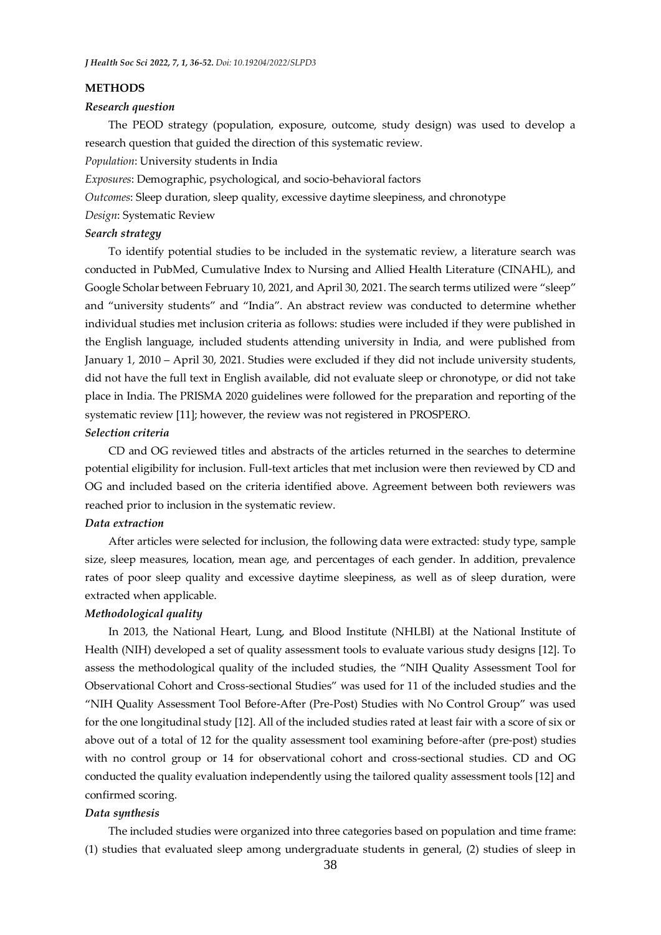#### **METHODS**

#### *Research question*

The PEOD strategy (population, exposure, outcome, study design) was used to develop a research question that guided the direction of this systematic review.

*Population*: University students in India

*Exposures*: Demographic, psychological, and socio-behavioral factors

*Outcomes*: Sleep duration, sleep quality, excessive daytime sleepiness, and chronotype

*Design*: Systematic Review

# *Search strategy*

To identify potential studies to be included in the systematic review, a literature search was conducted in PubMed, Cumulative Index to Nursing and Allied Health Literature (CINAHL), and Google Scholar between February 10, 2021, and April 30, 2021. The search terms utilized were "sleep" and "university students" and "India". An abstract review was conducted to determine whether individual studies met inclusion criteria as follows: studies were included if they were published in the English language, included students attending university in India, and were published from January 1, 2010 – April 30, 2021. Studies were excluded if they did not include university students, did not have the full text in English available, did not evaluate sleep or chronotype, or did not take place in India. The PRISMA 2020 guidelines were followed for the preparation and reporting of the systematic review [11]; however, the review was not registered in PROSPERO.

# *Selection criteria*

CD and OG reviewed titles and abstracts of the articles returned in the searches to determine potential eligibility for inclusion. Full-text articles that met inclusion were then reviewed by CD and OG and included based on the criteria identified above. Agreement between both reviewers was reached prior to inclusion in the systematic review.

### *Data extraction*

After articles were selected for inclusion, the following data were extracted: study type, sample size, sleep measures, location, mean age, and percentages of each gender. In addition, prevalence rates of poor sleep quality and excessive daytime sleepiness, as well as of sleep duration, were extracted when applicable.

# *Methodological quality*

In 2013, the National Heart, Lung, and Blood Institute (NHLBI) at the National Institute of Health (NIH) developed a set of quality assessment tools to evaluate various study designs [12]. To assess the methodological quality of the included studies, the "NIH Quality Assessment Tool for Observational Cohort and Cross-sectional Studies" was used for 11 of the included studies and the "NIH Quality Assessment Tool Before-After (Pre-Post) Studies with No Control Group" was used for the one longitudinal study [12]. All of the included studies rated at least fair with a score of six or above out of a total of 12 for the quality assessment tool examining before-after (pre-post) studies with no control group or 14 for observational cohort and cross-sectional studies. CD and OG conducted the quality evaluation independently using the tailored quality assessment tools [12] and confirmed scoring.

#### *Data synthesis*

The included studies were organized into three categories based on population and time frame: (1) studies that evaluated sleep among undergraduate students in general, (2) studies of sleep in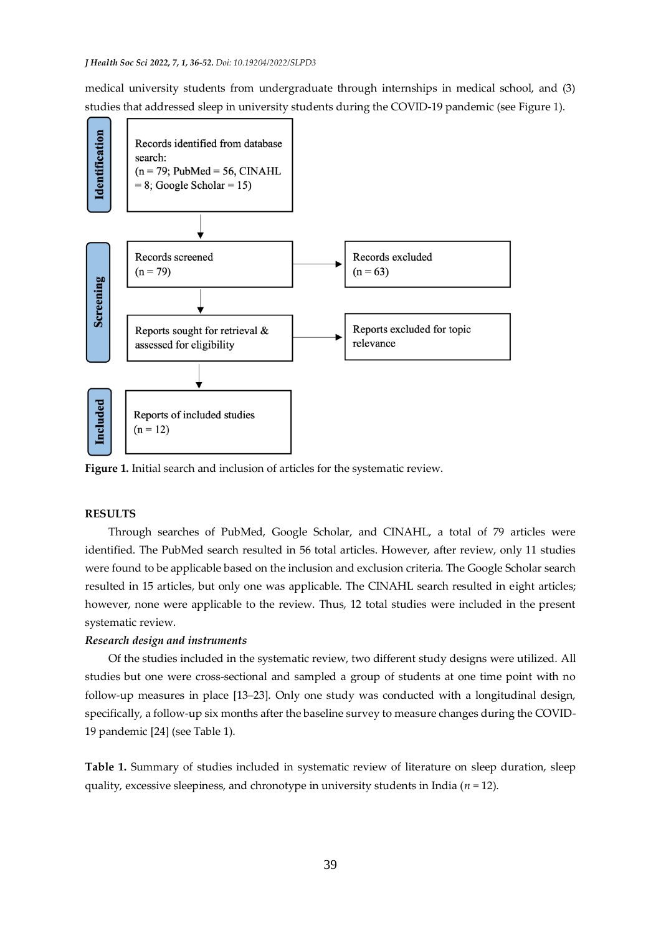medical university students from undergraduate through internships in medical school, and (3) studies that addressed sleep in university students during the COVID-19 pandemic (see Figure 1).



**Figure 1.** Initial search and inclusion of articles for the systematic review.

# **RESULTS**

Through searches of PubMed, Google Scholar, and CINAHL, a total of 79 articles were identified. The PubMed search resulted in 56 total articles. However, after review, only 11 studies were found to be applicable based on the inclusion and exclusion criteria. The Google Scholar search resulted in 15 articles, but only one was applicable. The CINAHL search resulted in eight articles; however, none were applicable to the review. Thus, 12 total studies were included in the present systematic review.

#### *Research design and instruments*

Of the studies included in the systematic review, two different study designs were utilized. All studies but one were cross-sectional and sampled a group of students at one time point with no follow-up measures in place [13–23]. Only one study was conducted with a longitudinal design, specifically, a follow-up six months after the baseline survey to measure changes during the COVID-19 pandemic [24] (see Table 1).

**Table 1.** Summary of studies included in systematic review of literature on sleep duration, sleep quality, excessive sleepiness, and chronotype in university students in India (*n* = 12).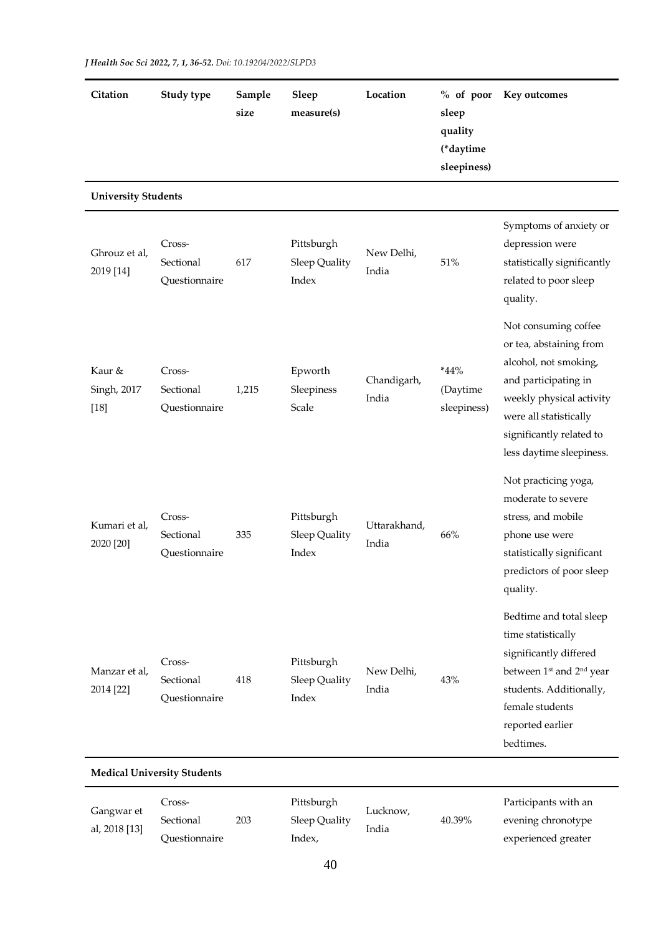| Citation                        | Study type                           | Sample<br>size | Sleep<br>measure(s)                  | Location              | $%$ of poor<br>sleep<br>quality<br>(*daytime<br>sleepiness) | Key outcomes                                                                                                                                                                                                   |
|---------------------------------|--------------------------------------|----------------|--------------------------------------|-----------------------|-------------------------------------------------------------|----------------------------------------------------------------------------------------------------------------------------------------------------------------------------------------------------------------|
| <b>University Students</b>      |                                      |                |                                      |                       |                                                             |                                                                                                                                                                                                                |
| Ghrouz et al,<br>2019 [14]      | Cross-<br>Sectional<br>Questionnaire | 617            | Pittsburgh<br>Sleep Quality<br>Index | New Delhi,<br>India   | 51%                                                         | Symptoms of anxiety or<br>depression were<br>statistically significantly<br>related to poor sleep<br>quality.                                                                                                  |
| Kaur &<br>Singh, 2017<br>$[18]$ | Cross-<br>Sectional<br>Questionnaire | 1,215          | Epworth<br>Sleepiness<br>Scale       | Chandigarh,<br>India  | *44%<br>(Daytime<br>sleepiness)                             | Not consuming coffee<br>or tea, abstaining from<br>alcohol, not smoking,<br>and participating in<br>weekly physical activity<br>were all statistically<br>significantly related to<br>less daytime sleepiness. |
| Kumari et al,<br>2020 [20]      | Cross-<br>Sectional<br>Questionnaire | 335            | Pittsburgh<br>Sleep Quality<br>Index | Uttarakhand,<br>India | 66%                                                         | Not practicing yoga,<br>moderate to severe<br>stress, and mobile<br>phone use were<br>statistically significant<br>predictors of poor sleep<br>quality.                                                        |
| Manzar et al,<br>2014 [22]      | Cross-<br>Sectional<br>Questionnaire | 418            | Pittsburgh<br>Sleep Quality<br>Index | New Delhi,<br>India   | 43%                                                         | Bedtime and total sleep<br>time statistically<br>significantly differed<br>between 1 <sup>st</sup> and 2 <sup>nd</sup> year<br>students. Additionally,<br>female students<br>reported earlier<br>bedtimes.     |

| Gangwar et<br>al, 2018 [13] | ross-         |     | Pittsburgh    |                   |        | Participants with an |
|-----------------------------|---------------|-----|---------------|-------------------|--------|----------------------|
|                             | Sectional     | 203 | Sleep Quality | Lucknow,<br>India | 40.39% | evening chronotype   |
|                             | Ouestionnaire |     | Index,        |                   |        | experienced greater  |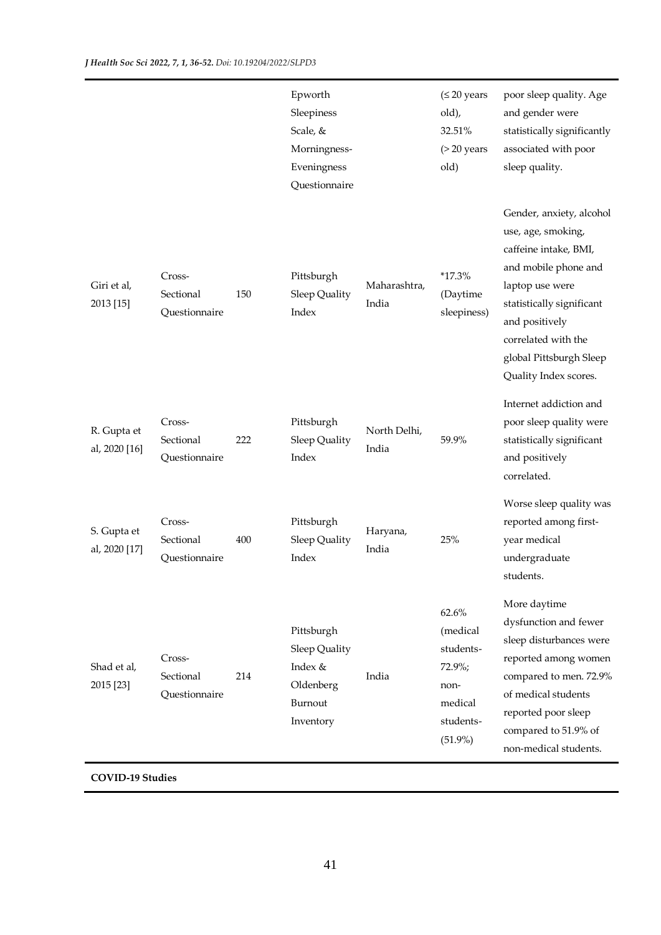|                              |                                      |     | Epworth<br>Sleepiness<br>Scale, &<br>Morningness-<br>Eveningness<br>Questionnaire |                       | $(\leq 20$ years<br>old),<br>32.51%<br>$($ > 20 years<br>old)                             | poor sleep quality. Age<br>and gender were<br>statistically significantly<br>associated with poor<br>sleep quality.                                                                                                                          |
|------------------------------|--------------------------------------|-----|-----------------------------------------------------------------------------------|-----------------------|-------------------------------------------------------------------------------------------|----------------------------------------------------------------------------------------------------------------------------------------------------------------------------------------------------------------------------------------------|
| Giri et al,<br>2013 [15]     | Cross-<br>Sectional<br>Questionnaire | 150 | Pittsburgh<br>Sleep Quality<br>Index                                              | Maharashtra,<br>India | $*17.3%$<br>(Daytime<br>sleepiness)                                                       | Gender, anxiety, alcohol<br>use, age, smoking,<br>caffeine intake, BMI,<br>and mobile phone and<br>laptop use were<br>statistically significant<br>and positively<br>correlated with the<br>global Pittsburgh Sleep<br>Quality Index scores. |
| R. Gupta et<br>al, 2020 [16] | Cross-<br>Sectional<br>Questionnaire | 222 | Pittsburgh<br>Sleep Quality<br>Index                                              | North Delhi,<br>India | 59.9%                                                                                     | Internet addiction and<br>poor sleep quality were<br>statistically significant<br>and positively<br>correlated.                                                                                                                              |
| S. Gupta et<br>al, 2020 [17] | Cross-<br>Sectional<br>Questionnaire | 400 | Pittsburgh<br>Sleep Quality<br>Index                                              | Haryana,<br>India     | 25%                                                                                       | Worse sleep quality was<br>reported among first-<br>year medical<br>undergraduate<br>students.                                                                                                                                               |
| Shad et al,<br>2015 [23]     | Cross-<br>Sectional<br>Questionnaire | 214 | Pittsburgh<br>Sleep Quality<br>Index &<br>Oldenberg<br>Burnout<br>Inventory       | India                 | 62.6%<br>(medical<br>students-<br>$72.9\%;$<br>non-<br>medical<br>students-<br>$(51.9\%)$ | More daytime<br>dysfunction and fewer<br>sleep disturbances were<br>reported among women<br>compared to men. 72.9%<br>of medical students<br>reported poor sleep<br>compared to 51.9% of<br>non-medical students.                            |
| <b>COVID-19 Studies</b>      |                                      |     |                                                                                   |                       |                                                                                           |                                                                                                                                                                                                                                              |

41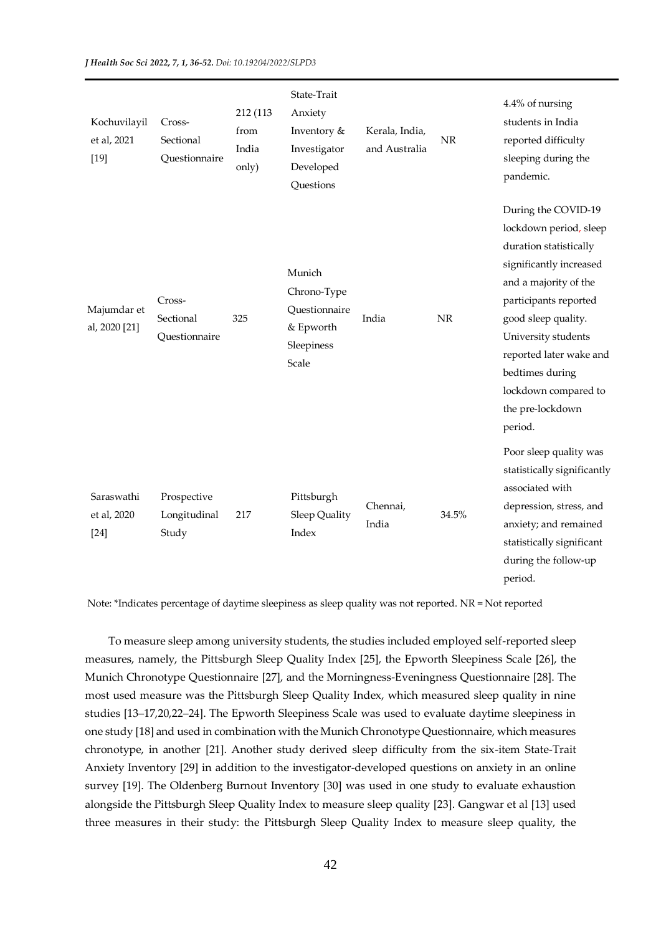| Kochuvilayil<br>et al, 2021<br>$[19]$ | Cross-<br>Sectional<br>Questionnaire | 212 (113<br>from<br>India<br>only) | State-Trait<br>Anxiety<br>Inventory &<br>Investigator<br>Developed<br>Questions | Kerala, India,<br>and Australia | <b>NR</b> | 4.4% of nursing<br>students in India<br>reported difficulty<br>sleeping during the<br>pandemic.                                                                                                                                                                                                         |
|---------------------------------------|--------------------------------------|------------------------------------|---------------------------------------------------------------------------------|---------------------------------|-----------|---------------------------------------------------------------------------------------------------------------------------------------------------------------------------------------------------------------------------------------------------------------------------------------------------------|
| Majumdar et<br>al, 2020 [21]          | Cross-<br>Sectional<br>Questionnaire | 325                                | Munich<br>Chrono-Type<br>Questionnaire<br>& Epworth<br>Sleepiness<br>Scale      | India                           | $\rm NR$  | During the COVID-19<br>lockdown period, sleep<br>duration statistically<br>significantly increased<br>and a majority of the<br>participants reported<br>good sleep quality.<br>University students<br>reported later wake and<br>bedtimes during<br>lockdown compared to<br>the pre-lockdown<br>period. |
| Saraswathi<br>et al, 2020<br>$[24]$   | Prospective<br>Longitudinal<br>Study | 217                                | Pittsburgh<br>Sleep Quality<br>Index                                            | Chennai,<br>India               | 34.5%     | Poor sleep quality was<br>statistically significantly<br>associated with<br>depression, stress, and<br>anxiety; and remained<br>statistically significant<br>during the follow-up<br>period.                                                                                                            |

Note: \*Indicates percentage of daytime sleepiness as sleep quality was not reported. NR = Not reported

To measure sleep among university students, the studies included employed self-reported sleep measures, namely, the Pittsburgh Sleep Quality Index [25], the Epworth Sleepiness Scale [26], the Munich Chronotype Questionnaire [27], and the Morningness-Eveningness Questionnaire [28]. The most used measure was the Pittsburgh Sleep Quality Index, which measured sleep quality in nine studies [13–17,20,22–24]. The Epworth Sleepiness Scale was used to evaluate daytime sleepiness in one study [18] and used in combination with the Munich Chronotype Questionnaire, which measures chronotype, in another [21]. Another study derived sleep difficulty from the six-item State-Trait Anxiety Inventory [29] in addition to the investigator-developed questions on anxiety in an online survey [19]. The Oldenberg Burnout Inventory [30] was used in one study to evaluate exhaustion alongside the Pittsburgh Sleep Quality Index to measure sleep quality [23]. Gangwar et al [13] used three measures in their study: the Pittsburgh Sleep Quality Index to measure sleep quality, the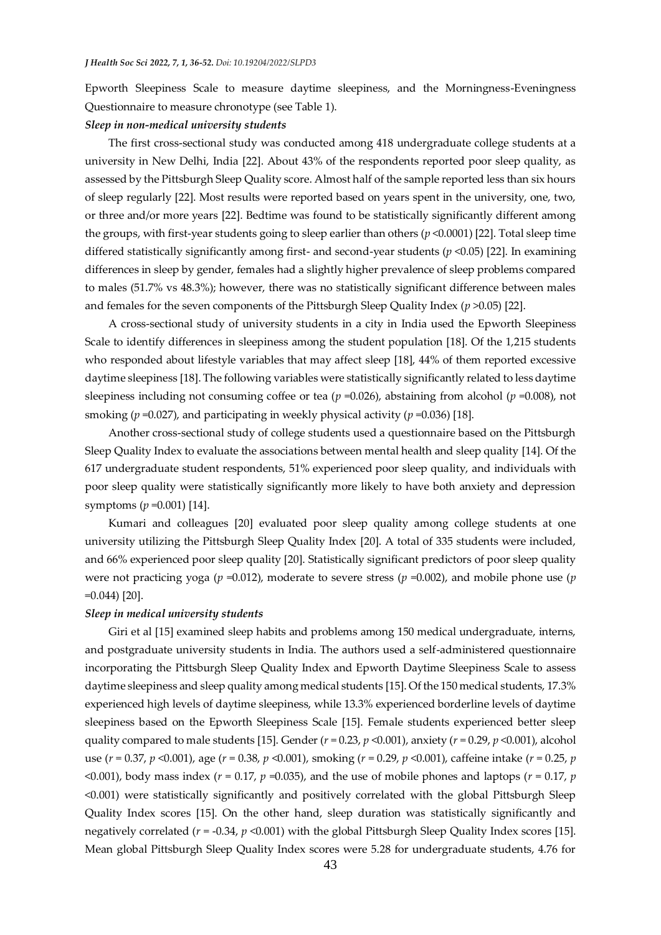Epworth Sleepiness Scale to measure daytime sleepiness, and the Morningness-Eveningness Questionnaire to measure chronotype (see Table 1).

#### *Sleep in non-medical university students*

The first cross-sectional study was conducted among 418 undergraduate college students at a university in New Delhi, India [22]. About 43% of the respondents reported poor sleep quality, as assessed by the Pittsburgh Sleep Quality score. Almost half of the sample reported less than six hours of sleep regularly [22]. Most results were reported based on years spent in the university, one, two, or three and/or more years [22]. Bedtime was found to be statistically significantly different among the groups, with first-year students going to sleep earlier than others (*p* <0.0001) [22]. Total sleep time differed statistically significantly among first- and second-year students (*p* <0.05) [22]. In examining differences in sleep by gender, females had a slightly higher prevalence of sleep problems compared to males (51.7% vs 48.3%); however, there was no statistically significant difference between males and females for the seven components of the Pittsburgh Sleep Quality Index (*p* >0.05) [22].

A cross-sectional study of university students in a city in India used the Epworth Sleepiness Scale to identify differences in sleepiness among the student population [18]. Of the 1,215 students who responded about lifestyle variables that may affect sleep [18], 44% of them reported excessive daytime sleepiness [18]. The following variables were statistically significantly related to less daytime sleepiness including not consuming coffee or tea (*p* =0.026), abstaining from alcohol (*p* =0.008), not smoking (*p* =0.027), and participating in weekly physical activity (*p* =0.036) [18].

Another cross-sectional study of college students used a questionnaire based on the Pittsburgh Sleep Quality Index to evaluate the associations between mental health and sleep quality [14]. Of the 617 undergraduate student respondents, 51% experienced poor sleep quality, and individuals with poor sleep quality were statistically significantly more likely to have both anxiety and depression symptoms (*p* =0.001) [14].

Kumari and colleagues [20] evaluated poor sleep quality among college students at one university utilizing the Pittsburgh Sleep Quality Index [20]. A total of 335 students were included, and 66% experienced poor sleep quality [20]. Statistically significant predictors of poor sleep quality were not practicing yoga (*p* =0.012), moderate to severe stress (*p* =0.002), and mobile phone use (*p*  =0.044) [20].

# *Sleep in medical university students*

Giri et al [15] examined sleep habits and problems among 150 medical undergraduate, interns, and postgraduate university students in India. The authors used a self-administered questionnaire incorporating the Pittsburgh Sleep Quality Index and Epworth Daytime Sleepiness Scale to assess daytime sleepiness and sleep quality among medical students [15]. Of the 150 medical students, 17.3% experienced high levels of daytime sleepiness, while 13.3% experienced borderline levels of daytime sleepiness based on the Epworth Sleepiness Scale [15]. Female students experienced better sleep quality compared to male students [15]. Gender (*r* = 0.23, *p* <0.001), anxiety (*r* = 0.29, *p* <0.001), alcohol use (*r* = 0.37, *p* <0.001), age (*r* = 0.38, *p* <0.001), smoking (*r* = 0.29, *p* <0.001), caffeine intake (*r* = 0.25, *p*  <0.001), body mass index ( $r = 0.17$ ,  $p = 0.035$ ), and the use of mobile phones and laptops ( $r = 0.17$ ,  $p = 0.17$ <0.001) were statistically significantly and positively correlated with the global Pittsburgh Sleep Quality Index scores [15]. On the other hand, sleep duration was statistically significantly and negatively correlated (*r* = -0.34, *p* <0.001) with the global Pittsburgh Sleep Quality Index scores [15]. Mean global Pittsburgh Sleep Quality Index scores were 5.28 for undergraduate students, 4.76 for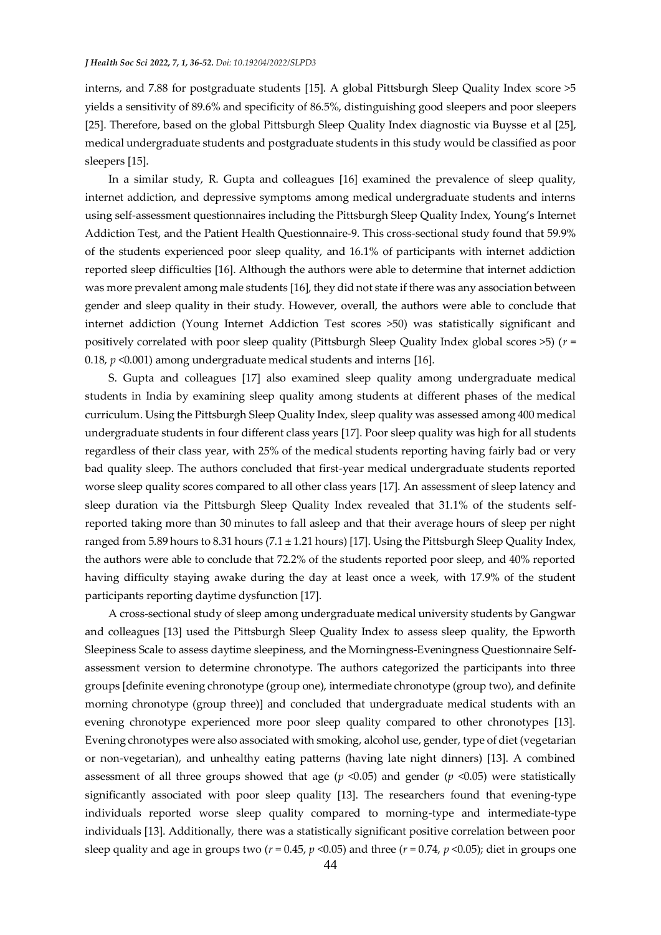interns, and 7.88 for postgraduate students [15]. A global Pittsburgh Sleep Quality Index score >5 yields a sensitivity of 89.6% and specificity of 86.5%, distinguishing good sleepers and poor sleepers [25]. Therefore, based on the global Pittsburgh Sleep Quality Index diagnostic via Buysse et al [25], medical undergraduate students and postgraduate students in this study would be classified as poor sleepers [15].

In a similar study, R. Gupta and colleagues [16] examined the prevalence of sleep quality, internet addiction, and depressive symptoms among medical undergraduate students and interns using self-assessment questionnaires including the Pittsburgh Sleep Quality Index, Young's Internet Addiction Test, and the Patient Health Questionnaire-9. This cross-sectional study found that 59.9% of the students experienced poor sleep quality, and 16.1% of participants with internet addiction reported sleep difficulties [16]. Although the authors were able to determine that internet addiction was more prevalent among male students [16], they did not state if there was any association between gender and sleep quality in their study. However, overall, the authors were able to conclude that internet addiction (Young Internet Addiction Test scores >50) was statistically significant and positively correlated with poor sleep quality (Pittsburgh Sleep Quality Index global scores >5) (*r* = 0.18, *p* <0.001) among undergraduate medical students and interns [16].

S. Gupta and colleagues [17] also examined sleep quality among undergraduate medical students in India by examining sleep quality among students at different phases of the medical curriculum. Using the Pittsburgh Sleep Quality Index, sleep quality was assessed among 400 medical undergraduate students in four different class years [17]. Poor sleep quality was high for all students regardless of their class year, with 25% of the medical students reporting having fairly bad or very bad quality sleep. The authors concluded that first-year medical undergraduate students reported worse sleep quality scores compared to all other class years [17]. An assessment of sleep latency and sleep duration via the Pittsburgh Sleep Quality Index revealed that 31.1% of the students selfreported taking more than 30 minutes to fall asleep and that their average hours of sleep per night ranged from 5.89 hours to 8.31 hours (7.1 ± 1.21 hours) [17]. Using the Pittsburgh Sleep Quality Index, the authors were able to conclude that 72.2% of the students reported poor sleep, and 40% reported having difficulty staying awake during the day at least once a week, with 17.9% of the student participants reporting daytime dysfunction [17].

A cross-sectional study of sleep among undergraduate medical university students by Gangwar and colleagues [13] used the Pittsburgh Sleep Quality Index to assess sleep quality, the Epworth Sleepiness Scale to assess daytime sleepiness, and the Morningness-Eveningness Questionnaire Selfassessment version to determine chronotype. The authors categorized the participants into three groups [definite evening chronotype (group one), intermediate chronotype (group two), and definite morning chronotype (group three)] and concluded that undergraduate medical students with an evening chronotype experienced more poor sleep quality compared to other chronotypes [13]. Evening chronotypes were also associated with smoking, alcohol use, gender, type of diet (vegetarian or non-vegetarian), and unhealthy eating patterns (having late night dinners) [13]. A combined assessment of all three groups showed that age  $(p \le 0.05)$  and gender  $(p \le 0.05)$  were statistically significantly associated with poor sleep quality [13]. The researchers found that evening-type individuals reported worse sleep quality compared to morning-type and intermediate-type individuals [13]. Additionally, there was a statistically significant positive correlation between poor sleep quality and age in groups two (*r* = 0.45, *p* <0.05) and three (*r* = 0.74, *p* <0.05); diet in groups one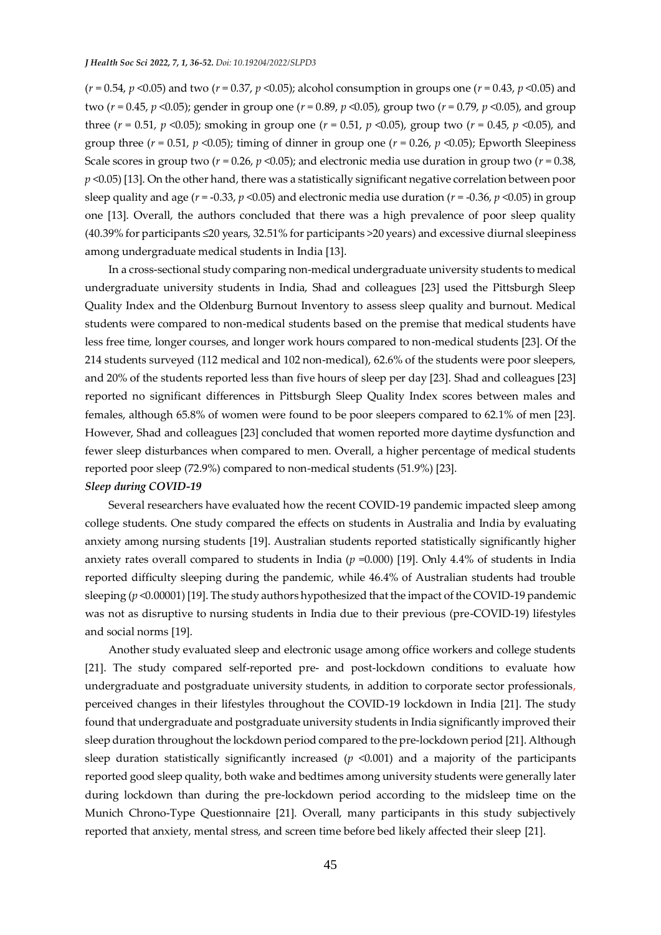(*r* = 0.54, *p* <0.05) and two (*r* = 0.37, *p* <0.05); alcohol consumption in groups one (*r* = 0.43, *p* <0.05) and two (*r* = 0.45, *p* <0.05); gender in group one (*r* = 0.89, *p* <0.05), group two (*r* = 0.79, *p* <0.05), and group three (*r* = 0.51, *p* <0.05); smoking in group one (*r* = 0.51, *p* <0.05), group two (*r* = 0.45, *p* <0.05), and group three ( $r = 0.51$ ,  $p \le 0.05$ ); timing of dinner in group one ( $r = 0.26$ ,  $p \le 0.05$ ); Epworth Sleepiness Scale scores in group two ( $r = 0.26$ ,  $p \le 0.05$ ); and electronic media use duration in group two ( $r = 0.38$ , *p* <0.05) [13]. On the other hand, there was a statistically significant negative correlation between poor sleep quality and age (*r* = -0.33, *p* <0.05) and electronic media use duration (*r* = -0.36, *p* <0.05) in group one [13]. Overall, the authors concluded that there was a high prevalence of poor sleep quality (40.39% for participants ≤20 years, 32.51% for participants >20 years) and excessive diurnal sleepiness among undergraduate medical students in India [13].

In a cross-sectional study comparing non-medical undergraduate university students to medical undergraduate university students in India, Shad and colleagues [23] used the Pittsburgh Sleep Quality Index and the Oldenburg Burnout Inventory to assess sleep quality and burnout. Medical students were compared to non-medical students based on the premise that medical students have less free time, longer courses, and longer work hours compared to non-medical students [23]. Of the 214 students surveyed (112 medical and 102 non-medical), 62.6% of the students were poor sleepers, and 20% of the students reported less than five hours of sleep per day [23]. Shad and colleagues [23] reported no significant differences in Pittsburgh Sleep Quality Index scores between males and females, although 65.8% of women were found to be poor sleepers compared to 62.1% of men [23]. However, Shad and colleagues [23] concluded that women reported more daytime dysfunction and fewer sleep disturbances when compared to men. Overall, a higher percentage of medical students reported poor sleep (72.9%) compared to non-medical students (51.9%) [23].

# *Sleep during COVID-19*

Several researchers have evaluated how the recent COVID-19 pandemic impacted sleep among college students. One study compared the effects on students in Australia and India by evaluating anxiety among nursing students [19]. Australian students reported statistically significantly higher anxiety rates overall compared to students in India ( $p = 0.000$ ) [19]. Only 4.4% of students in India reported difficulty sleeping during the pandemic, while 46.4% of Australian students had trouble sleeping (*p* <0.00001) [19]. The study authors hypothesized that the impact of the COVID-19 pandemic was not as disruptive to nursing students in India due to their previous (pre-COVID-19) lifestyles and social norms [19].

Another study evaluated sleep and electronic usage among office workers and college students [21]. The study compared self-reported pre- and post-lockdown conditions to evaluate how undergraduate and postgraduate university students, in addition to corporate sector professionals, perceived changes in their lifestyles throughout the COVID-19 lockdown in India [21]. The study found that undergraduate and postgraduate university students in India significantly improved their sleep duration throughout the lockdown period compared to the pre-lockdown period [21]. Although sleep duration statistically significantly increased  $(p \le 0.001)$  and a majority of the participants reported good sleep quality, both wake and bedtimes among university students were generally later during lockdown than during the pre-lockdown period according to the midsleep time on the Munich Chrono-Type Questionnaire [21]. Overall, many participants in this study subjectively reported that anxiety, mental stress, and screen time before bed likely affected their sleep [21].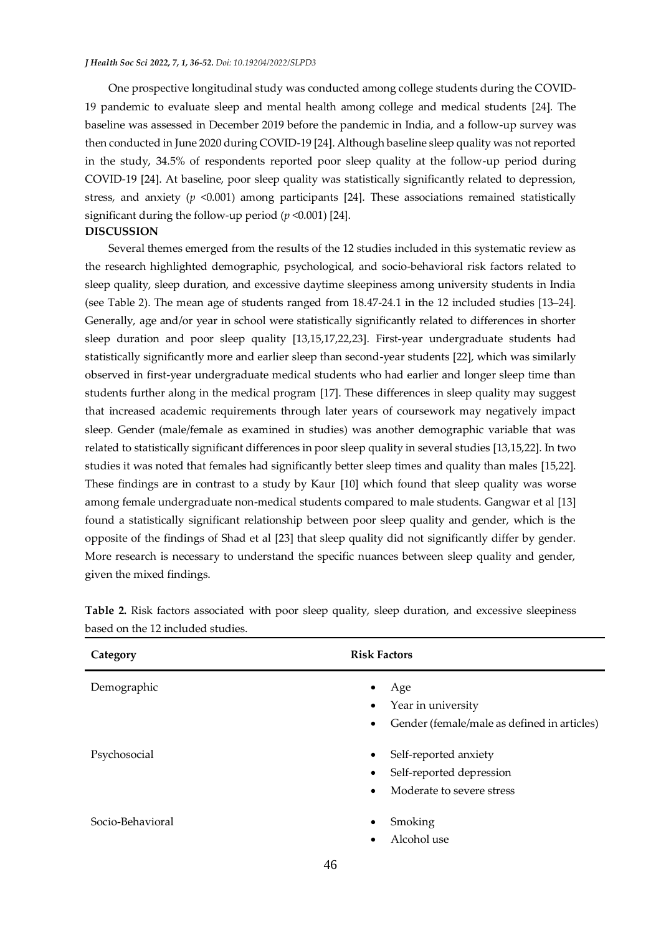#### *J Health Soc Sci 2022, 7, 1, 36-52. Doi: 10.19204/2022/SLPD3*

One prospective longitudinal study was conducted among college students during the COVID-19 pandemic to evaluate sleep and mental health among college and medical students [24]. The baseline was assessed in December 2019 before the pandemic in India, and a follow-up survey was then conducted in June 2020 during COVID-19 [24]. Although baseline sleep quality was not reported in the study, 34.5% of respondents reported poor sleep quality at the follow-up period during COVID-19 [24]. At baseline, poor sleep quality was statistically significantly related to depression, stress, and anxiety (*p* <0.001) among participants [24]. These associations remained statistically significant during the follow-up period (*p* <0.001) [24]. **DISCUSSION**

# Several themes emerged from the results of the 12 studies included in this systematic review as the research highlighted demographic, psychological, and socio-behavioral risk factors related to sleep quality, sleep duration, and excessive daytime sleepiness among university students in India (see Table 2). The mean age of students ranged from 18.47-24.1 in the 12 included studies [13–24]. Generally, age and/or year in school were statistically significantly related to differences in shorter sleep duration and poor sleep quality [13,15,17,22,23]. First-year undergraduate students had statistically significantly more and earlier sleep than second-year students [22], which was similarly observed in first-year undergraduate medical students who had earlier and longer sleep time than students further along in the medical program [17]. These differences in sleep quality may suggest that increased academic requirements through later years of coursework may negatively impact sleep. Gender (male/female as examined in studies) was another demographic variable that was related to statistically significant differences in poor sleep quality in several studies [13,15,22]. In two studies it was noted that females had significantly better sleep times and quality than males [15,22]. These findings are in contrast to a study by Kaur [10] which found that sleep quality was worse among female undergraduate non-medical students compared to male students. Gangwar et al [13] found a statistically significant relationship between poor sleep quality and gender, which is the opposite of the findings of Shad et al [23] that sleep quality did not significantly differ by gender. More research is necessary to understand the specific nuances between sleep quality and gender, given the mixed findings.

| Category         | <b>Risk Factors</b>                                                                                                   |  |  |  |
|------------------|-----------------------------------------------------------------------------------------------------------------------|--|--|--|
| Demographic      | Age<br>$\bullet$<br>Year in university<br>$\bullet$<br>Gender (female/male as defined in articles)<br>$\bullet$       |  |  |  |
| Psychosocial     | Self-reported anxiety<br>$\bullet$<br>Self-reported depression<br>$\bullet$<br>Moderate to severe stress<br>$\bullet$ |  |  |  |
| Socio-Behavioral | Smoking<br>$\bullet$<br>Alcohol use<br>$\bullet$                                                                      |  |  |  |

**Table 2.** Risk factors associated with poor sleep quality, sleep duration, and excessive sleepiness based on the 12 included studies.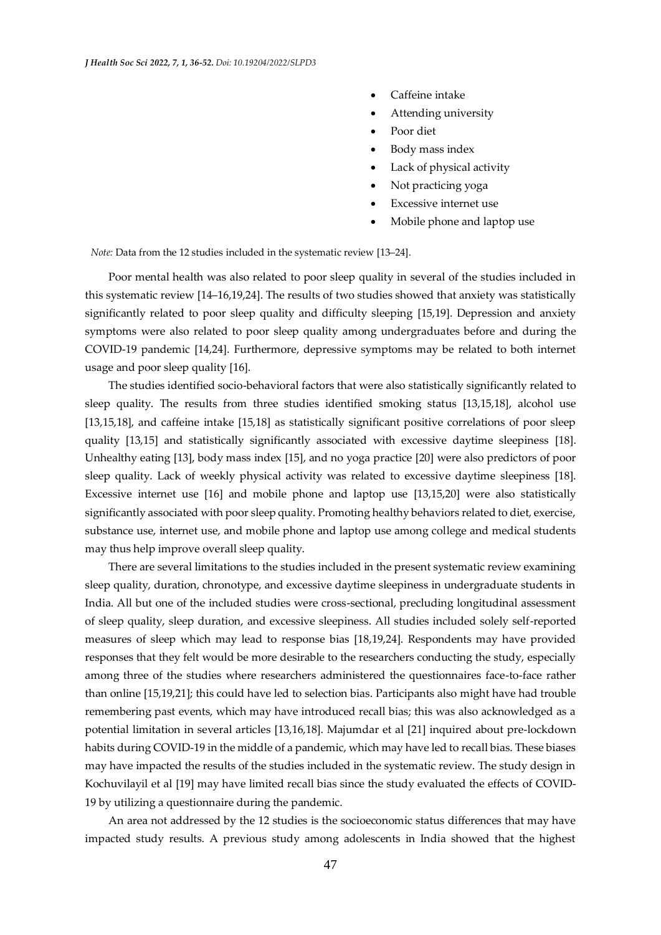- Caffeine intake
- Attending university
- Poor diet
- Body mass index
- Lack of physical activity
- Not practicing yoga
- Excessive internet use
- Mobile phone and laptop use

*Note:* Data from the 12 studies included in the systematic review [13–24].

Poor mental health was also related to poor sleep quality in several of the studies included in this systematic review [14–16,19,24]. The results of two studies showed that anxiety was statistically significantly related to poor sleep quality and difficulty sleeping [15,19]. Depression and anxiety symptoms were also related to poor sleep quality among undergraduates before and during the COVID-19 pandemic [14,24]. Furthermore, depressive symptoms may be related to both internet usage and poor sleep quality [16].

The studies identified socio-behavioral factors that were also statistically significantly related to sleep quality. The results from three studies identified smoking status [13,15,18], alcohol use [13,15,18], and caffeine intake [15,18] as statistically significant positive correlations of poor sleep quality [13,15] and statistically significantly associated with excessive daytime sleepiness [18]. Unhealthy eating [13], body mass index [15], and no yoga practice [20] were also predictors of poor sleep quality. Lack of weekly physical activity was related to excessive daytime sleepiness [18]. Excessive internet use [16] and mobile phone and laptop use [13,15,20] were also statistically significantly associated with poor sleep quality. Promoting healthy behaviors related to diet, exercise, substance use, internet use, and mobile phone and laptop use among college and medical students may thus help improve overall sleep quality.

There are several limitations to the studies included in the present systematic review examining sleep quality, duration, chronotype, and excessive daytime sleepiness in undergraduate students in India. All but one of the included studies were cross-sectional, precluding longitudinal assessment of sleep quality, sleep duration, and excessive sleepiness. All studies included solely self-reported measures of sleep which may lead to response bias [18,19,24]. Respondents may have provided responses that they felt would be more desirable to the researchers conducting the study, especially among three of the studies where researchers administered the questionnaires face-to-face rather than online [15,19,21]; this could have led to selection bias. Participants also might have had trouble remembering past events, which may have introduced recall bias; this was also acknowledged as a potential limitation in several articles [13,16,18]. Majumdar et al [21] inquired about pre-lockdown habits during COVID-19 in the middle of a pandemic, which may have led to recall bias. These biases may have impacted the results of the studies included in the systematic review. The study design in Kochuvilayil et al [19] may have limited recall bias since the study evaluated the effects of COVID-19 by utilizing a questionnaire during the pandemic.

An area not addressed by the 12 studies is the socioeconomic status differences that may have impacted study results. A previous study among adolescents in India showed that the highest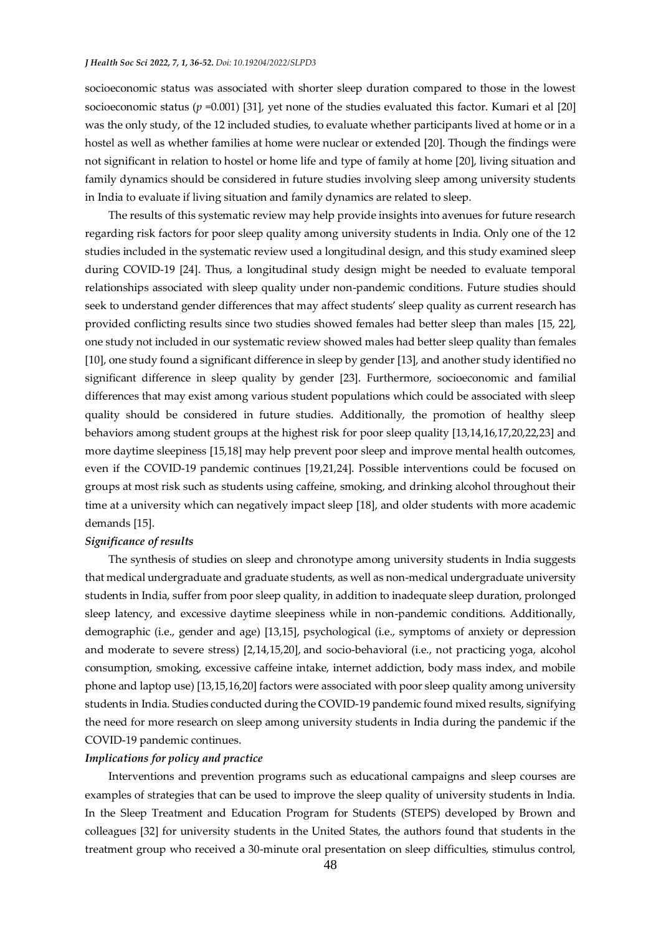#### *J Health Soc Sci 2022, 7, 1, 36-52. Doi: 10.19204/2022/SLPD3*

socioeconomic status was associated with shorter sleep duration compared to those in the lowest socioeconomic status (*p* =0.001) [31], yet none of the studies evaluated this factor. Kumari et al [20] was the only study, of the 12 included studies, to evaluate whether participants lived at home or in a hostel as well as whether families at home were nuclear or extended [20]. Though the findings were not significant in relation to hostel or home life and type of family at home [20], living situation and family dynamics should be considered in future studies involving sleep among university students in India to evaluate if living situation and family dynamics are related to sleep.

The results of this systematic review may help provide insights into avenues for future research regarding risk factors for poor sleep quality among university students in India. Only one of the 12 studies included in the systematic review used a longitudinal design, and this study examined sleep during COVID-19 [24]. Thus, a longitudinal study design might be needed to evaluate temporal relationships associated with sleep quality under non-pandemic conditions. Future studies should seek to understand gender differences that may affect students' sleep quality as current research has provided conflicting results since two studies showed females had better sleep than males [15, 22], one study not included in our systematic review showed males had better sleep quality than females [10], one study found a significant difference in sleep by gender [13], and another study identified no significant difference in sleep quality by gender [23]. Furthermore, socioeconomic and familial differences that may exist among various student populations which could be associated with sleep quality should be considered in future studies. Additionally, the promotion of healthy sleep behaviors among student groups at the highest risk for poor sleep quality [13,14,16,17,20,22,23] and more daytime sleepiness [15,18] may help prevent poor sleep and improve mental health outcomes, even if the COVID-19 pandemic continues [19,21,24]. Possible interventions could be focused on groups at most risk such as students using caffeine, smoking, and drinking alcohol throughout their time at a university which can negatively impact sleep [18], and older students with more academic demands [15].

# *Significance of results*

The synthesis of studies on sleep and chronotype among university students in India suggests that medical undergraduate and graduate students, as well as non-medical undergraduate university students in India, suffer from poor sleep quality, in addition to inadequate sleep duration, prolonged sleep latency, and excessive daytime sleepiness while in non-pandemic conditions. Additionally, demographic (i.e., gender and age) [13,15], psychological (i.e., symptoms of anxiety or depression and moderate to severe stress) [2,14,15,20], and socio-behavioral (i.e., not practicing yoga, alcohol consumption, smoking, excessive caffeine intake, internet addiction, body mass index, and mobile phone and laptop use) [13,15,16,20] factors were associated with poor sleep quality among university students in India. Studies conducted during the COVID-19 pandemic found mixed results, signifying the need for more research on sleep among university students in India during the pandemic if the COVID-19 pandemic continues.

# *Implications for policy and practice*

Interventions and prevention programs such as educational campaigns and sleep courses are examples of strategies that can be used to improve the sleep quality of university students in India. In the Sleep Treatment and Education Program for Students (STEPS) developed by Brown and colleagues [32] for university students in the United States, the authors found that students in the treatment group who received a 30-minute oral presentation on sleep difficulties, stimulus control,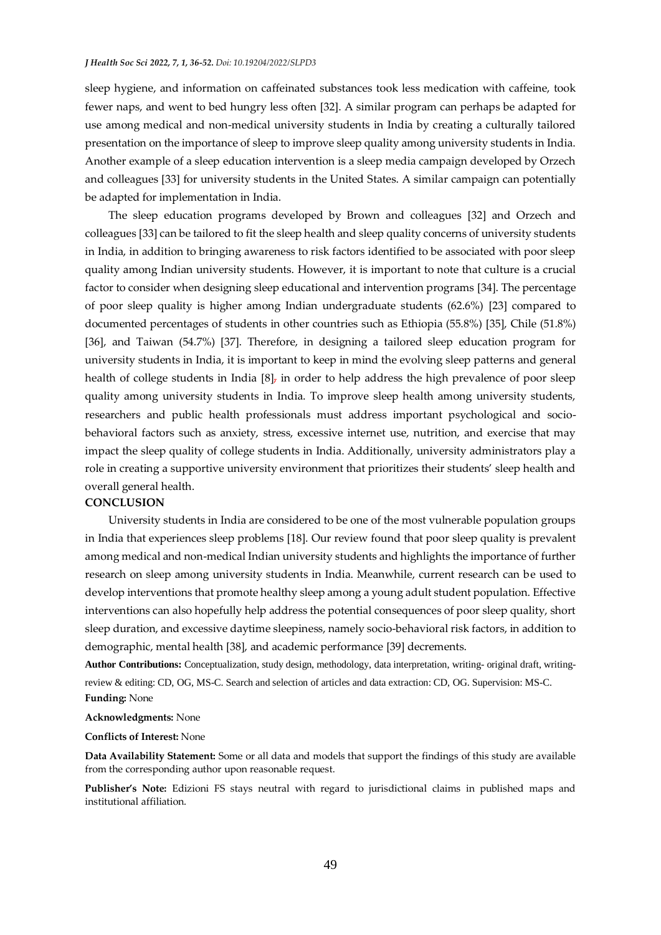sleep hygiene, and information on caffeinated substances took less medication with caffeine, took fewer naps, and went to bed hungry less often [32]. A similar program can perhaps be adapted for use among medical and non-medical university students in India by creating a culturally tailored presentation on the importance of sleep to improve sleep quality among university students in India. Another example of a sleep education intervention is a sleep media campaign developed by Orzech and colleagues [33] for university students in the United States. A similar campaign can potentially be adapted for implementation in India.

The sleep education programs developed by Brown and colleagues [32] and Orzech and colleagues [33] can be tailored to fit the sleep health and sleep quality concerns of university students in India, in addition to bringing awareness to risk factors identified to be associated with poor sleep quality among Indian university students. However, it is important to note that culture is a crucial factor to consider when designing sleep educational and intervention programs [34]. The percentage of poor sleep quality is higher among Indian undergraduate students (62.6%) [23] compared to documented percentages of students in other countries such as Ethiopia (55.8%) [35], Chile (51.8%) [36], and Taiwan (54.7%) [37]. Therefore, in designing a tailored sleep education program for university students in India, it is important to keep in mind the evolving sleep patterns and general health of college students in India [8], in order to help address the high prevalence of poor sleep quality among university students in India. To improve sleep health among university students, researchers and public health professionals must address important psychological and sociobehavioral factors such as anxiety, stress, excessive internet use, nutrition, and exercise that may impact the sleep quality of college students in India. Additionally, university administrators play a role in creating a supportive university environment that prioritizes their students' sleep health and overall general health.

#### **CONCLUSION**

University students in India are considered to be one of the most vulnerable population groups in India that experiences sleep problems [18]. Our review found that poor sleep quality is prevalent among medical and non-medical Indian university students and highlights the importance of further research on sleep among university students in India. Meanwhile, current research can be used to develop interventions that promote healthy sleep among a young adult student population. Effective interventions can also hopefully help address the potential consequences of poor sleep quality, short sleep duration, and excessive daytime sleepiness, namely socio-behavioral risk factors, in addition to demographic, mental health [38], and academic performance [39] decrements.

**Author Contributions:** Conceptualization, study design, methodology, data interpretation, writing- original draft, writingreview & editing: CD, OG, MS-C. Search and selection of articles and data extraction: CD, OG. Supervision: MS-C. **Funding:** None

# **Acknowledgments:** None

#### **Conflicts of Interest:** None

**Data Availability Statement:** Some or all data and models that support the findings of this study are available from the corresponding author upon reasonable request.

**Publisher's Note:** Edizioni FS stays neutral with regard to jurisdictional claims in published maps and institutional affiliation.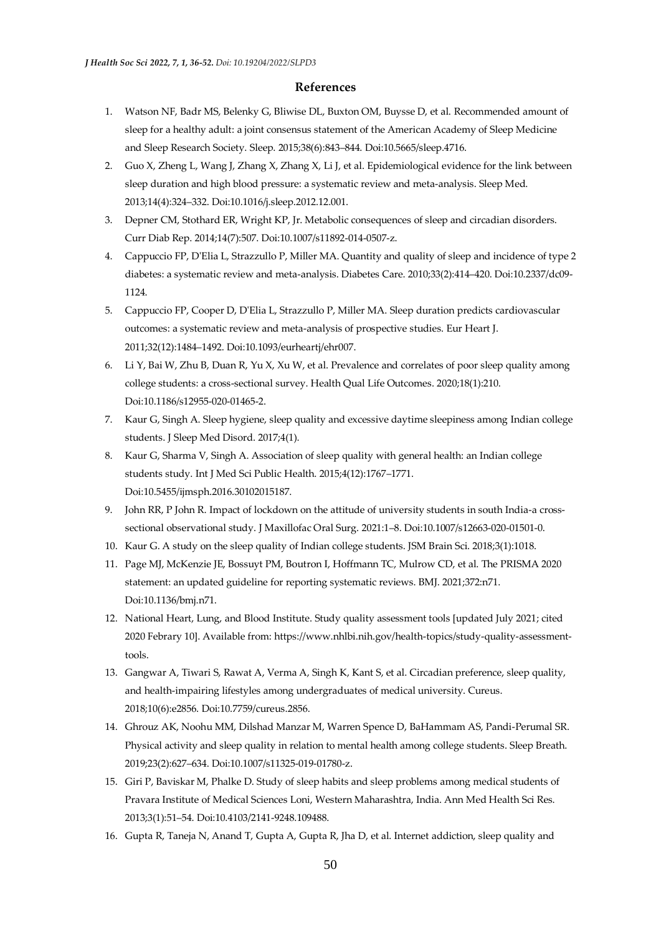### **References**

- 1. Watson NF, Badr MS, Belenky G, Bliwise DL, Buxton OM, Buysse D, et al. Recommended amount of sleep for a healthy adult: a joint consensus statement of the American Academy of Sleep Medicine and Sleep Research Society. Sleep. 2015;38(6):843–844. Doi:10.5665/sleep.4716.
- 2. Guo X, Zheng L, Wang J, Zhang X, Zhang X, Li J, et al. Epidemiological evidence for the link between sleep duration and high blood pressure: a systematic review and meta-analysis. Sleep Med. 2013;14(4):324–332. Doi:10.1016/j.sleep.2012.12.001.
- 3. Depner CM, Stothard ER, Wright KP, Jr. Metabolic consequences of sleep and circadian disorders. Curr Diab Rep. 2014;14(7):507. Doi:10.1007/s11892-014-0507-z.
- 4. Cappuccio FP, D'Elia L, Strazzullo P, Miller MA. Quantity and quality of sleep and incidence of type 2 diabetes: a systematic review and meta-analysis. Diabetes Care. 2010;33(2):414–420. Doi:10.2337/dc09- 1124.
- 5. Cappuccio FP, Cooper D, D'Elia L, Strazzullo P, Miller MA. Sleep duration predicts cardiovascular outcomes: a systematic review and meta-analysis of prospective studies. Eur Heart J. 2011;32(12):1484–1492. Doi:10.1093/eurheartj/ehr007.
- 6. Li Y, Bai W, Zhu B, Duan R, Yu X, Xu W, et al. Prevalence and correlates of poor sleep quality among college students: a cross-sectional survey. Health Qual Life Outcomes. 2020;18(1):210. Doi:10.1186/s12955-020-01465-2.
- 7. Kaur G, Singh A. Sleep hygiene, sleep quality and excessive daytime sleepiness among Indian college students. J Sleep Med Disord. 2017;4(1).
- 8. Kaur G, Sharma V, Singh A. Association of sleep quality with general health: an Indian college students study. Int J Med Sci Public Health. 2015;4(12):1767–1771. Doi:10.5455/ijmsph.2016.30102015187.
- 9. John RR, P John R. Impact of lockdown on the attitude of university students in south India-a crosssectional observational study. J Maxillofac Oral Surg. 2021:1–8. Doi:10.1007/s12663-020-01501-0.
- 10. Kaur G. A study on the sleep quality of Indian college students. JSM Brain Sci. 2018;3(1):1018.
- 11. Page MJ, McKenzie JE, Bossuyt PM, Boutron I, Hoffmann TC, Mulrow CD, et al. The PRISMA 2020 statement: an updated guideline for reporting systematic reviews. BMJ. 2021;372:n71. Doi:10.1136/bmj.n71.
- 12. National Heart, Lung, and Blood Institute. Study quality assessment tools [updated July 2021; cited 2020 Febrary 10]. Available from: https://www.nhlbi.nih.gov/health-topics/study-quality-assessmenttools.
- 13. Gangwar A, Tiwari S, Rawat A, Verma A, Singh K, Kant S, et al. Circadian preference, sleep quality, and health-impairing lifestyles among undergraduates of medical university. Cureus. 2018;10(6):e2856. Doi:10.7759/cureus.2856.
- 14. Ghrouz AK, Noohu MM, Dilshad Manzar M, Warren Spence D, BaHammam AS, Pandi-Perumal SR. Physical activity and sleep quality in relation to mental health among college students. Sleep Breath. 2019;23(2):627–634. Doi:10.1007/s11325-019-01780-z.
- 15. Giri P, Baviskar M, Phalke D. Study of sleep habits and sleep problems among medical students of Pravara Institute of Medical Sciences Loni, Western Maharashtra, India. Ann Med Health Sci Res. 2013;3(1):51–54. Doi:10.4103/2141-9248.109488.
- 16. Gupta R, Taneja N, Anand T, Gupta A, Gupta R, Jha D, et al. Internet addiction, sleep quality and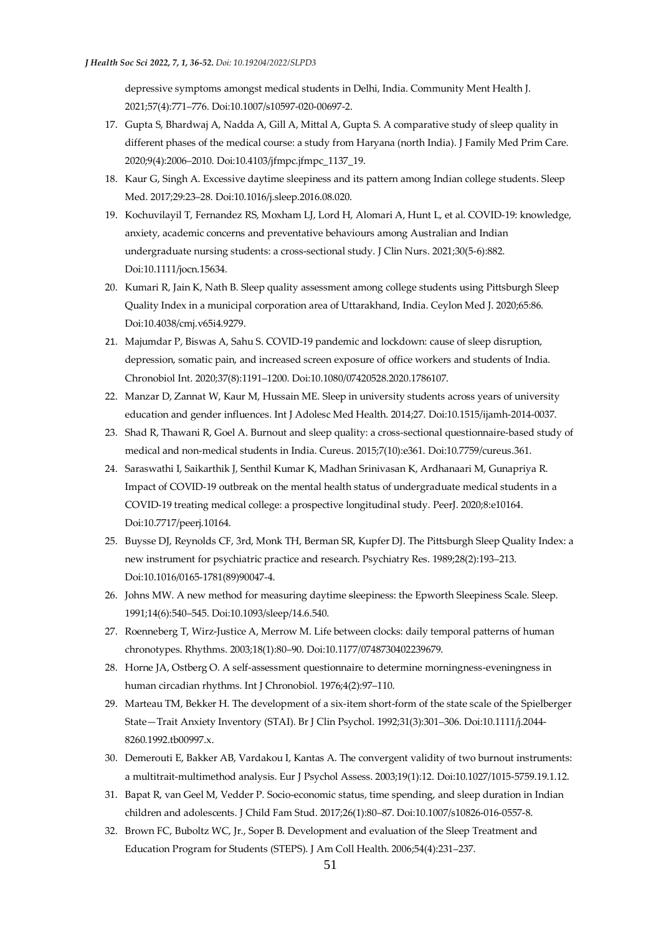depressive symptoms amongst medical students in Delhi, India. Community Ment Health J. 2021;57(4):771–776. Doi:10.1007/s10597-020-00697-2.

- 17. Gupta S, Bhardwaj A, Nadda A, Gill A, Mittal A, Gupta S. A comparative study of sleep quality in different phases of the medical course: a study from Haryana (north India). J Family Med Prim Care. 2020;9(4):2006–2010. Doi:10.4103/jfmpc.jfmpc\_1137\_19.
- 18. Kaur G, Singh A. Excessive daytime sleepiness and its pattern among Indian college students. Sleep Med. 2017;29:23–28. Doi:10.1016/j.sleep.2016.08.020.
- 19. Kochuvilayil T, Fernandez RS, Moxham LJ, Lord H, Alomari A, Hunt L, et al. COVID-19: knowledge, anxiety, academic concerns and preventative behaviours among Australian and Indian undergraduate nursing students: a cross-sectional study. J Clin Nurs. 2021;30(5-6):882. Doi:10.1111/jocn.15634.
- 20. Kumari R, Jain K, Nath B. Sleep quality assessment among college students using Pittsburgh Sleep Quality Index in a municipal corporation area of Uttarakhand, India. Ceylon Med J. 2020;65:86. Doi:10.4038/cmj.v65i4.9279.
- 21. Majumdar P, Biswas A, Sahu S. COVID-19 pandemic and lockdown: cause of sleep disruption, depression, somatic pain, and increased screen exposure of office workers and students of India. Chronobiol Int. 2020;37(8):1191–1200. Doi:10.1080/07420528.2020.1786107.
- 22. Manzar D, Zannat W, Kaur M, Hussain ME. Sleep in university students across years of university education and gender influences. Int J Adolesc Med Health. 2014;27. Doi:10.1515/ijamh-2014-0037.
- 23. Shad R, Thawani R, Goel A. Burnout and sleep quality: a cross-sectional questionnaire-based study of medical and non-medical students in India. Cureus. 2015;7(10):e361. Doi:10.7759/cureus.361.
- 24. Saraswathi I, Saikarthik J, Senthil Kumar K, Madhan Srinivasan K, Ardhanaari M, Gunapriya R. Impact of COVID-19 outbreak on the mental health status of undergraduate medical students in a COVID-19 treating medical college: a prospective longitudinal study. PeerJ. 2020;8:e10164. Doi:10.7717/peerj.10164.
- 25. Buysse DJ, Reynolds CF, 3rd, Monk TH, Berman SR, Kupfer DJ. The Pittsburgh Sleep Quality Index: a new instrument for psychiatric practice and research. Psychiatry Res. 1989;28(2):193–213. Doi:10.1016/0165-1781(89)90047-4.
- 26. Johns MW. A new method for measuring daytime sleepiness: the Epworth Sleepiness Scale. Sleep. 1991;14(6):540–545. Doi:10.1093/sleep/14.6.540.
- 27. Roenneberg T, Wirz-Justice A, Merrow M. Life between clocks: daily temporal patterns of human chronotypes. Rhythms. 2003;18(1):80–90. Doi:10.1177/0748730402239679.
- 28. Horne JA, Ostberg O. A self-assessment questionnaire to determine morningness-eveningness in human circadian rhythms. Int J Chronobiol. 1976;4(2):97–110.
- 29. Marteau TM, Bekker H. The development of a six-item short-form of the state scale of the Spielberger State—Trait Anxiety Inventory (STAI). Br J Clin Psychol. 1992;31(3):301–306. Doi:10.1111/j.2044- 8260.1992.tb00997.x.
- 30. Demerouti E, Bakker AB, Vardakou I, Kantas A. The convergent validity of two burnout instruments: a multitrait-multimethod analysis. Eur J Psychol Assess. 2003;19(1):12. Doi:10.1027/1015-5759.19.1.12.
- 31. Bapat R, van Geel M, Vedder P. Socio-economic status, time spending, and sleep duration in Indian children and adolescents. J Child Fam Stud. 2017;26(1):80–87. Doi:10.1007/s10826-016-0557-8.
- 32. Brown FC, Buboltz WC, Jr., Soper B. Development and evaluation of the Sleep Treatment and Education Program for Students (STEPS). J Am Coll Health. 2006;54(4):231–237.